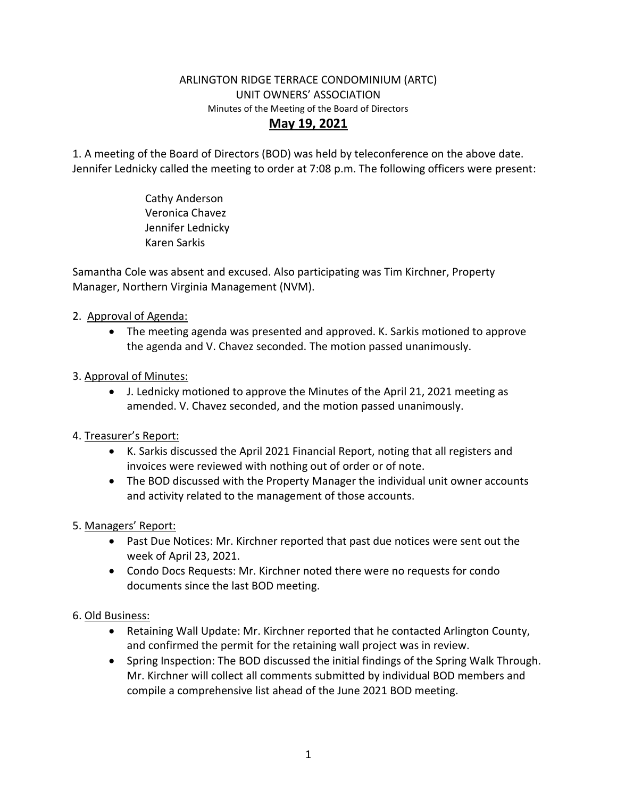### ARLINGTON RIDGE TERRACE CONDOMINIUM (ARTC) UNIT OWNERS' ASSOCIATION Minutes of the Meeting of the Board of Directors **May 19, 2021**

1. A meeting of the Board of Directors (BOD) was held by teleconference on the above date. Jennifer Lednicky called the meeting to order at 7:08 p.m. The following officers were present:

> Cathy Anderson Veronica Chavez Jennifer Lednicky Karen Sarkis

Samantha Cole was absent and excused. Also participating was Tim Kirchner, Property Manager, Northern Virginia Management (NVM).

## 2. Approval of Agenda:

• The meeting agenda was presented and approved. K. Sarkis motioned to approve the agenda and V. Chavez seconded. The motion passed unanimously.

# 3. Approval of Minutes:

• J. Lednicky motioned to approve the Minutes of the April 21, 2021 meeting as amended. V. Chavez seconded, and the motion passed unanimously.

## 4. Treasurer's Report:

- K. Sarkis discussed the April 2021 Financial Report, noting that all registers and invoices were reviewed with nothing out of order or of note.
- The BOD discussed with the Property Manager the individual unit owner accounts and activity related to the management of those accounts.

## 5. Managers' Report:

- Past Due Notices: Mr. Kirchner reported that past due notices were sent out the week of April 23, 2021.
- Condo Docs Requests: Mr. Kirchner noted there were no requests for condo documents since the last BOD meeting.

## 6. Old Business:

- Retaining Wall Update: Mr. Kirchner reported that he contacted Arlington County, and confirmed the permit for the retaining wall project was in review.
- Spring Inspection: The BOD discussed the initial findings of the Spring Walk Through. Mr. Kirchner will collect all comments submitted by individual BOD members and compile a comprehensive list ahead of the June 2021 BOD meeting.